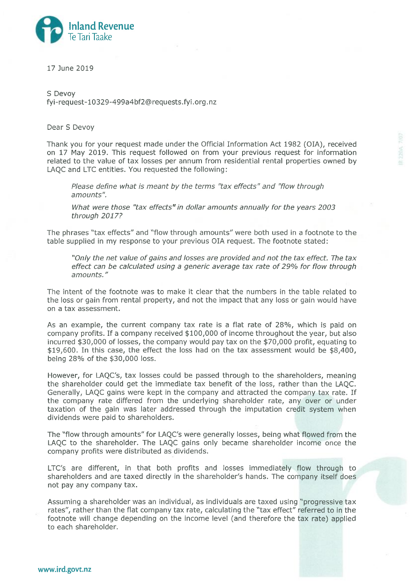

17 June 2019

S Devov fyi-request-10329-499a4bf2@requests.fyi.org.nz

Dear S Devov

Thank you for your request made under the Official Information Act 1982 (OIA), received on 17 May 2019. This request followed on from your previous request for information related to the value of tax losses per annum from residential rental properties owned by LAQC and LTC entities. You requested the following:

Please define what is meant by the terms "tax effects" and "flow through amounts".

What were those "tax effects" in dollar amounts annually for the years 2003 through 2017?

The phrases "tax effects" and "flow through amounts" were both used in a footnote to the table supplied in my response to your previous OIA request. The footnote stated:

"Only the net value of gains and losses are provided and not the tax effect. The tax effect can be calculated using a generic average tax rate of 29% for flow through amounts."

The intent of the footnote was to make it clear that the numbers in the table related to the loss or gain from rental property, and not the impact that any loss or gain would have on a tax assessment.

As an example, the current company tax rate is a flat rate of 28%, which is paid on company profits. If a company received \$100,000 of income throughout the year, but also incurred \$30,000 of losses, the company would pay tax on the \$70,000 profit, equating to \$19,600. In this case, the effect the loss had on the tax assessment would be \$8,400, being 28% of the \$30,000 loss.

However, for LAOC's, tax losses could be passed through to the shareholders, meaning the shareholder could get the immediate tax benefit of the loss, rather than the LAQC. Generally, LAQC gains were kept in the company and attracted the company tax rate. If the company rate differed from the underlying shareholder rate, any over or under taxation of the gain was later addressed through the imputation credit system when dividends were paid to shareholders.

The "flow through amounts" for LAQC's were generally losses, being what flowed from the LAQC to the shareholder. The LAQC gains only became shareholder income once the company profits were distributed as dividends.

LTC's are different, in that both profits and losses immediately flow through to shareholders and are taxed directly in the shareholder's hands. The company itself does not pay any company tax.

Assuming a shareholder was an individual, as individuals are taxed using "progressive tax rates", rather than the flat company tax rate, calculating the "tax effect" referred to in the footnote will change depending on the income level (and therefore the tax rate) applied to each shareholder.

www.ird.govt.nz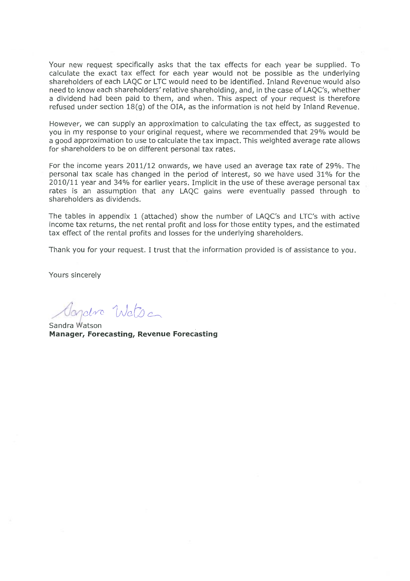Your new request specifically asks that the tax effects for each year be supplied. To calculate the exact tax effect for each year would not be possible as the underlying shareholders of each LAQC or LTC would need to be identified. Inland Revenue would also need to know each shareholders' relative shareholding, and, in the case of LAQC's, whether a dividend had been paid to them, and when. This aspect of your request is therefore refused under section  $18(q)$  of the OIA, as the information is not held by Inland Revenue.

However, we can supply an approximation to calculating the tax effect, as suggested to you in my response to your original request, where we recommended that 29% would be a good approximation to use to calculate the tax impact. This weighted average rate allows for shareholders to be on different personal tax rates.

For the income years 2011/12 onwards, we have used an average tax rate of 29%. The personal tax scale has changed in the period of interest, so we have used 31% for the 2010/11 year and 34% for earlier years. Implicit in the use of these average personal tax rates is an assumption that any LAQC gains were eventually passed through to shareholders as dividends.

The tables in appendix 1 (attached) show the number of LAQC's and LTC's with active income tax returns, the net rental profit and loss for those entity types, and the estimated tax effect of the rental profits and losses for the underlying shareholders.

Thank you for your request. I trust that the information provided is of assistance to you.

Yours sincerely

Tilctra

Sandra Watson **Manager, Forecasting, Revenue Forecasting**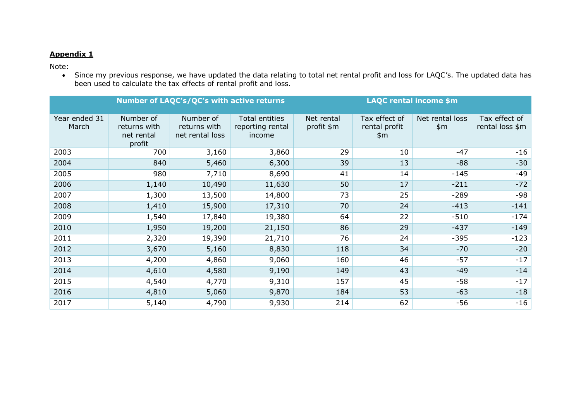## **Appendix 1**

Note:

• Since my previous response, we have updated the data relating to total net rental profit and loss for LAQC's. The updated data has been used to calculate the tax effects of rental profit and loss.

|                        |                                                   | <b>Number of LAQC's/QC's with active returns</b> |                                              | <b>LAQC rental income \$m</b> |                                         |                        |                                  |
|------------------------|---------------------------------------------------|--------------------------------------------------|----------------------------------------------|-------------------------------|-----------------------------------------|------------------------|----------------------------------|
| Year ended 31<br>March | Number of<br>returns with<br>net rental<br>profit | Number of<br>returns with<br>net rental loss     | Total entities<br>reporting rental<br>income | Net rental<br>profit \$m      | Tax effect of<br>rental profit<br>\$m\$ | Net rental loss<br>\$m | Tax effect of<br>rental loss \$m |
| 2003                   | 700                                               | 3,160                                            | 3,860                                        | 29                            | 10                                      | $-47$                  | $-16$                            |
| 2004                   | 840                                               | 5,460                                            | 6,300                                        | 39                            | 13                                      | $-88$                  | $-30$                            |
| 2005                   | 980                                               | 7,710                                            | 8,690                                        | 41                            | 14                                      | $-145$                 | $-49$                            |
| 2006                   | 1,140                                             | 10,490                                           | 11,630                                       | 50                            | 17                                      | $-211$                 | $-72$                            |
| 2007                   | 1,300                                             | 13,500                                           | 14,800                                       | 73                            | 25                                      | $-289$                 | $-98$                            |
| 2008                   | 1,410                                             | 15,900                                           | 17,310                                       | 70                            | 24                                      | $-413$                 | $-141$                           |
| 2009                   | 1,540                                             | 17,840                                           | 19,380                                       | 64                            | 22                                      | $-510$                 | $-174$                           |
| 2010                   | 1,950                                             | 19,200                                           | 21,150                                       | 86                            | 29                                      | $-437$                 | $-149$                           |
| 2011                   | 2,320                                             | 19,390                                           | 21,710                                       | 76                            | 24                                      | $-395$                 | $-123$                           |
| 2012                   | 3,670                                             | 5,160                                            | 8,830                                        | 118                           | 34                                      | $-70$                  | $-20$                            |
| 2013                   | 4,200                                             | 4,860                                            | 9,060                                        | 160                           | 46                                      | $-57$                  | $-17$                            |
| 2014                   | 4,610                                             | 4,580                                            | 9,190                                        | 149                           | 43                                      | $-49$                  | $-14$                            |
| 2015                   | 4,540                                             | 4,770                                            | 9,310                                        | 157                           | 45                                      | $-58$                  | $-17$                            |
| 2016                   | 4,810                                             | 5,060                                            | 9,870                                        | 184                           | 53                                      | $-63$                  | $-18$                            |
| 2017                   | 5,140                                             | 4,790                                            | 9,930                                        | 214                           | 62                                      | $-56$                  | $-16$                            |